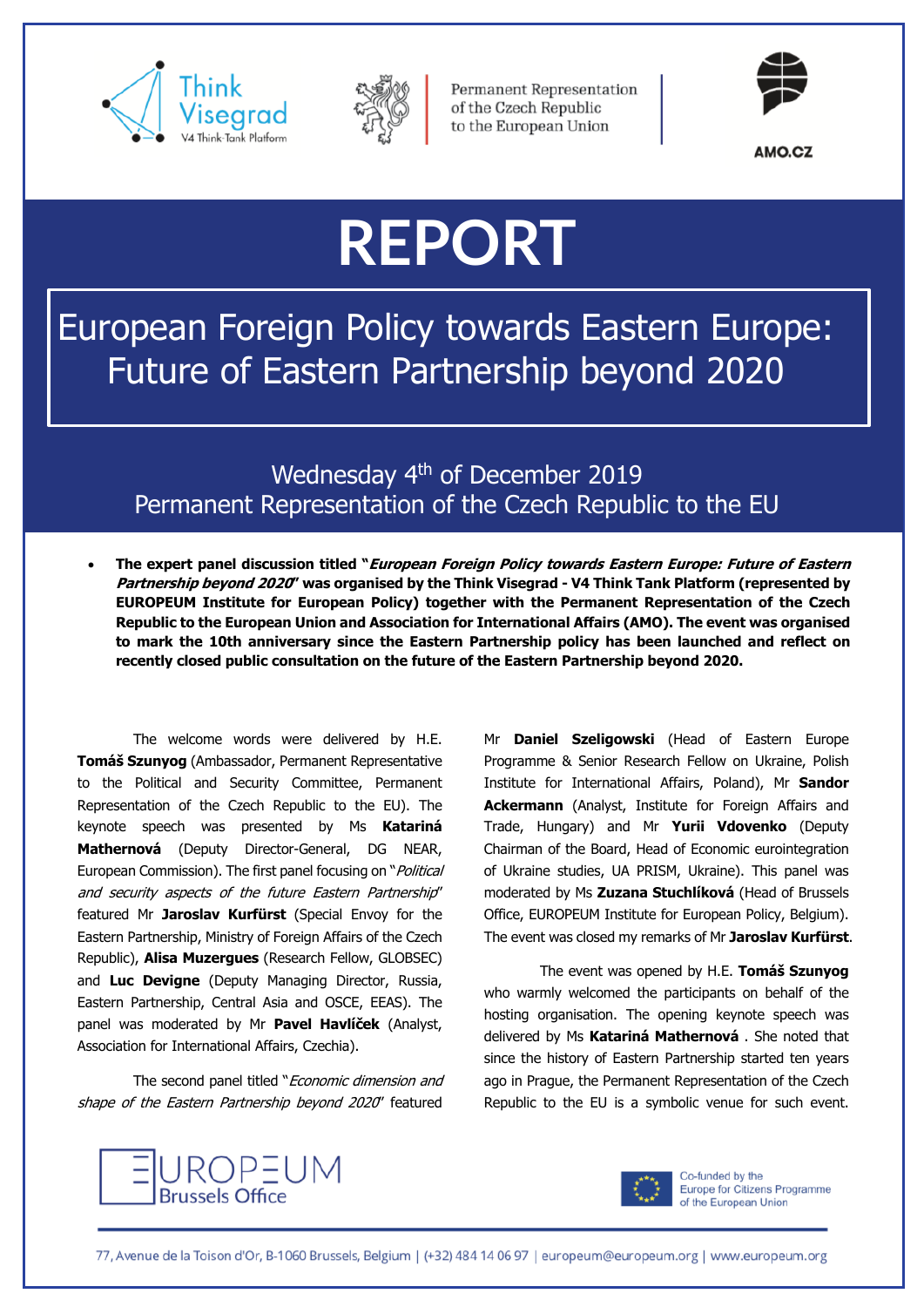



**Permanent Representation** of the Czech Republic to the European Union



AMO.CZ

## **REPORT**

European Foreign Policy towards Eastern Europe: Future of Eastern Partnership beyond 2020

Wednesday 4<sup>th</sup> of December 2019 Permanent Representation of the Czech Republic to the EU

• **The expert panel discussion titled "European Foreign Policy towards Eastern Europe: Future of Eastern Partnership beyond 2020" was organised by the Think Visegrad - V4 Think Tank Platform (represented by EUROPEUM Institute for European Policy) together with the Permanent Representation of the Czech Republic to the European Union and Association for International Affairs (AMO). The event was organised to mark the 10th anniversary since the Eastern Partnership policy has been launched and reflect on recently closed public consultation on the future of the Eastern Partnership beyond 2020.** 

The welcome words were delivered by H.E. **Tomáš Szunyog** (Ambassador, Permanent Representative to the Political and Security Committee, Permanent Representation of the Czech Republic to the EU). The keynote speech was presented by Ms **Katariná Mathernová** (Deputy Director-General, DG NEAR, European Commission). The first panel focusing on "*Political* and security aspects of the future Eastern Partnership" featured Mr **Jaroslav Kurfürst** (Special Envoy for the Eastern Partnership, Ministry of Foreign Affairs of the Czech Republic), **Alisa Muzergues** (Research Fellow, GLOBSEC) and **Luc Devigne** (Deputy Managing Director, Russia, Eastern Partnership, Central Asia and OSCE, EEAS). The panel was moderated by Mr **Pavel Havlíček** (Analyst, Association for International Affairs, Czechia).

The second panel titled "Economic dimension and shape of the Eastern Partnership beyond 2020" featured

Mr **Daniel Szeligowski** (Head of Eastern Europe Programme & Senior Research Fellow on Ukraine, Polish Institute for International Affairs, Poland), Mr **Sandor Ackermann** (Analyst, Institute for Foreign Affairs and Trade, Hungary) and Mr **Yurii Vdovenko** (Deputy Chairman of the Board, Head of Economic eurointegration of Ukraine studies, UA PRISM, Ukraine). This panel was moderated by Ms **Zuzana Stuchlíková** (Head of Brussels Office, EUROPEUM Institute for European Policy, Belgium). The event was closed my remarks of Mr **Jaroslav Kurfürst**.

The event was opened by H.E. **Tomáš Szunyog**  who warmly welcomed the participants on behalf of the hosting organisation. The opening keynote speech was delivered by Ms **Katariná Mathernová** . She noted that since the history of Eastern Partnership started ten years ago in Prague, the Permanent Representation of the Czech Republic to the EU is a symbolic venue for such event.





Co-funded by the Europe for Citizens Programme of the European Union